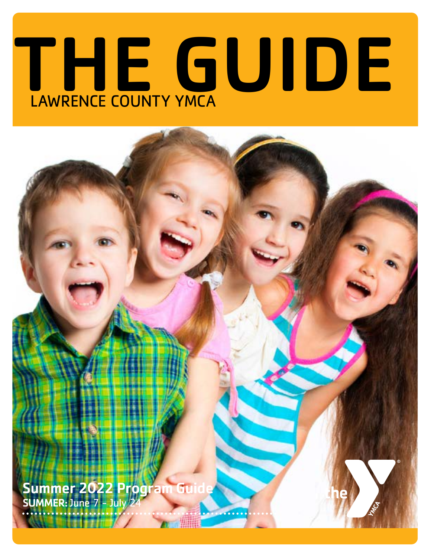# THE GUIDE

**Summer 2022 Program** SUMMER: June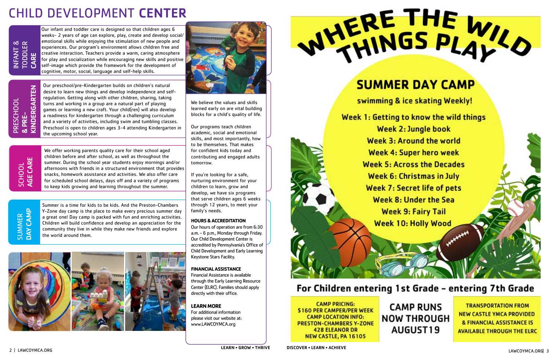**TRANSPORTATION FROM NEW CASTLE YMCA PROVIDED & FINANCIAL ASSISTANCE IS AVAILABLE THROUGH THE ELRC** 

Our infant and toddler care is designed so that children ages 6 weeks- 2 years of age can explore, play, create and develop social/ emotional skills while enjoying the stimulation of new people and experiences. Our program's environment allows children free and creative interaction. Teachers provide a warm, caring atmosphere for play and socialization while encouraging new skills and positive self-image which provide the framework for the development of cognitive, motor, social, language and self-help skills.

ERGARTEN KINDERGARTEN PRESCHOOL PRESCHOOL & PRE-KINDI



Our preschool/pre-Kindergarten builds on children's natural desire to learn new things and develop independence and selfregulation. Getting along with other children, sharing, taking turns and working in a group are a natural part of playing games or learning a new craft. Your child(ren) will also develop a readiness for kindergarten through a challenging curriculum and a variety of activities, including swim and tumbling classes. Preschool is open to children ages 3-4 attending Kindergarten in the upcoming school year.

# CHILD DEVELOPMENT CENTER

SCHOOL<br>AGE CARE AGE CARE SCHOOL

**SUMMER**<br>DAY CAMP DAY CAMP SUMMER

We offer working parents quality care for their school aged children before and after school, as well as throughout the summer. During the school year students enjoy mornings and/or afternoons with friends in a structured environment that provides snacks, homework assistance and activities. We also offer care for scheduled school delays, days off and a variety of programs to keep kids growing and learning throughout the summer.

We believe the values and skills learned early on are vital building blocks for a child's quality of life.

Our programs teach children academic, social and emotional skills, and most importantly, how to be themselves. That makes for confident kids today and contributing and engaged adults tomorrow.

If you're looking for a safe, nurturing environment for your children to learn, grow and develop, we have six programs that serve children ages 6 weeks through 12 years, to meet your family's needs.

## **HOURS & ACCREDITATION**

Our hours of operation are from 6:30 a.m. - 6 p.m., Monday through Friday. Our Child Development Center is accredited by Pennsylvania's Office of Child Development and Early Learning Keystone Stars Facility.

## **FINANCIAL ASSISTANCE**

Financial Assistance is available through the Early Learning Resource Center (ELRC). Families should apply directly with their office.

**LEARN MORE**

For additional information please visit our website at: www.LAWCOYMCA.org



# **SUMMER DAY CAMP**

swimming & ice skating Weekly!

Week 1: Getting to know the wild things **Week 2: Jungle book** Week 3: Around the world **Week 4: Super hero week Week 5: Across the Decades Week 6: Christmas in July Week 7: Secret life of pets Week 8: Under the Sea Week 9: Fairy Tail Week 10: Holly Wood** 

## For Children entering 1st Grade - entering 7th Grade

**CAMP PRICING: S160 PER CAMPER/PER WEEK CAMP LOCATION INFO: PRESTON-CHAMBERS Y-ZONE 428 ELEANOR DR** NEW CASTLE, PA 16105

**CAMP RUNS NOW THROUGH** AUGUST19

Summer is a time for kids to be kids. And the Preston-Chambers Y-Zone day camp is the place to make every precious summer day a great one! Day camp is packed with fun and enriching activities. Children will build confidence and develop an appreciation for the community they live in while they make new friends and explore the world around them.



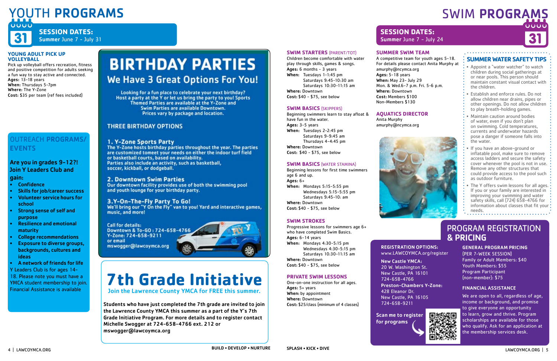#### **YOUNG ADULT PICK UP VOLLEYBALL**

Pick up volleyball offers recreation, fitness and positive competition for adults seeking a fun way to stay active and connected. Ages: 13-18 years When: Thursdays 5-7pm Where: The Y-Zone Cost: \$35 per team (ref fees included)

## SWIM PROGRAMS JOUL



# YOUTH PROGRAMS



## **SESSION DATES:**  Summer June 7 - July 31

## **SWIM STARTERS** (PARENT/TOT)

Children become comfortable with water play through skills, games & songs. Ages: 6 months - 3 years When: Tuesdays 1-1:45 pm Saturdays 9:45-10:30 am Saturdays 10:30-11:15 am Where: Downtown Cost: \$40 - \$75, see below

## **SWIM BASICS** (SKIPPERS)

Beginning swimmers learn to stay afloat & have fun in the water. Ages: 3-5 years When: Tuesdays 2-2:45 pm Saturdays 9-9:45 am Thursdays 4-4:45 pm Where: Downtown

Cost: \$40 - \$75, see below

## **SWIM BASICS** (WATER STAMINA)

Beginning lessons for first time swimmers age 6 and up. Ages: 6+ When: Mondays 5:15-5:55 pm Wednesdays 5:15-5:55 pm Saturdays 9:45-10: am Where: Downtown Cost: \$40 - \$75, see below

## **SWIM STROKES**

Progressive lessons for swimmers age 6+ who have completed Swim Basics. Ages: 6-14 years When: Mondays 4:30-5:15 pm Wednesdays 4:30-5:15 pm Saturdays 10:30-11:15 am Where: Downtown Cost: \$40 - \$75, see below

## OUTREACH PROGRAMS/ **EVENTS**

## **PRIVATE SWIM LESSONS**

One-on-one instruction for all ages. Ages: 5+ years When: by appointment Where: Downtown Cost: \$25/class (minimum of 4 classes)

## **SUMMER SWIM TEAM**

- Appoint a "water watcher" to watch children during social gatherings at or near pools. This person should maintain constant visual contact with the children.
- Establish and enforce rules. Do not allow children near drains, pipes or other openings. Do not allow children to play breath-holding games.
- Maintain caution around bodies of water, even if you don't plan on swimming. Cold temperatures, currents and underwater hazards pose a danger if someone falls into the water.
- If you have an above-ground or inflatable pool, make sure to remove access ladders and secure the safety cover whenever the pool is not in use. Remove any other structures that could provide access to the pool such as outdoor furniture.
- The Y offers swim lessons for all ages. If you or your family are interested in improving your swimming and water safety skills, call (724) 658-4766 for information about classes that fit your : needs.

A competitive team for youth ages 5-18. For details please contact Anita Murphy at amurphy@ncymca.org Ages: 5-18 years When: May 23- July 29 Mon. & Wed.6-7 p.m. Fri. 5-6 p.m. Where: Downtown Cost: Members \$100 Non-Members \$130

## **AQUATICS DIRECTOR**

Anita Murphy amurphy@ncymca.org



## PROGRAM REGISTRATION & PRICING





## **SESSION DATES:**  Summer June 7 - July 24

Scan me to register for programs

GENERAL PROGRAM PRICING (PER 7-WEEK SESSION) Family or Adult Members: \$40 Youth Members: \$55 Program Participant (non-member): \$75

## FINANCIAL ASSISTANCE

We are open to all, regardless of age, income or background, and promise to give everyone an opportunity to learn, grow and thrive. Program scholarships are available for those who qualify. Ask for an application at the membership services desk.

## REGISTRATION OPTIONS: www.LAWCOYMCA.org/register

New Castle YMCA: 20 W. Washington St. New Castle, PA 16101 724-658-4766 Preston-Chambers Y-Zone: 428 Eleanor Dr. New Castle, PA 16105 724-658-9211

## Are you in grades 9-12?! Join Y Leaders Club and gain:

- Confidence
- Skills for job/career success
- Volunteer service hours for school
- Strong sense of self and purpose
- Resilience and emotional maturity
- College recommendations
- Exposure to diverse groups, backgrounds, cultures and ideas

• A network of friends for life Y Leaders Club is for ages 14-

18. Please note you must have a YMCA student membership to join. Financial Assistance is available

# **BIRTHDAY PARTIES** We Have 3 Great Options For You!

Looking for a fun place to celebrate your next birthday? Host a party at the Y or let us bring the party to you! Sports Themed Parties are available at the Y-Zone and Swim Parties are available Downtown. Prices vary by package and location.

## **THREE BIRTHDAY OPTIONS**

## 1. Y-Zone Sports Party

The Y-Zone hosts birthday parties throughout the year. The parties are customized tomeet your needs on either the indoor turf field or basketball courts, based on availability. Parties also include an activity, such as basketball, soccer, kickball, or dodgeball.

## **2. Downtown Swim Parties**

Our downtown facility provides use of both the swimming pool and youth lounge for your birthday party.

## 3.Y-On-The-Fly Party To Go!

We'll bring our "Y On the Fly" van to you! Yard and interactive games, music, and more!

**Call for details:** Downtown & To-GO: 724-658-4766 Y-Zone: 724-658-9211

mswogger@lawcoymca.org

or email



## **SUMMER WATER SAFETY TIPS**

# **7th Grade Initiative**

Join the Lawrence County YMCA for FREE this summer.

Students who have just completed the 7th grade are invited to join the Lawrence County YMCA this summer as a part of the Y's 7th Grade Initiative Program. For more details and to register contact Michelle Swogger at 724-658-4766 ext. 212 or mswogger@lawcoymca.org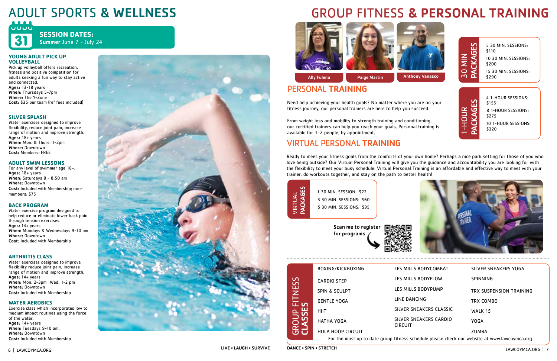# GROUP FITNESS & PERSONAL TRAINING



Ally Fulena **Paige Martin** 

# ADULT SPORTS & WELLNESS

 $UUUU$ 

## **SESSION DATES:**  Summer June 7 - July 24

#### **YOUNG ADULT PICK UP VOLLEYBALL**

Pick up volleyball offers recreation, fitness and positive competition for adults seeking a fun way to stay active and connected. Ages: 13-18 years When: Thursdays 5-7pm Where: The Y-Zone Cost: \$35 per team (ref fees included)

## **SILVER SPLASH**

Water exercises designed to improve flexibility, reduce joint pain, increase range of motion and improve strength. Ages: 18+ years When: Mon. & Thurs. 1-2pm Where: Downtown Cost: Members: FREE

## **ADULT SWIM LESSONS**

For any level of swimmer age 18+. Ages: 18+ years When: Saturdays 8 - 8:50 am Where: Downtown Cost: Included with Membership; nonmembers: \$75

## **BACK PROGRAM**

Water exercise program designed to help reduce or eliminate lower back pain through tension exercises. Ages: 14+ years When: Mondays & Wednesdays 9-10 am Where: Downtown Cost: Included with Membership

## **ARTHRITIS CLASS**

Water exercises designed to improve flexibility reduce joint pain, increase range of motion and improve strength. Ages: 14+ years When: Mon. 2-3pm | Wed. 1-2 pm Where: Downtown Cost: Included with Membership

## **WATER AEROBICS**

Exercise class which incorporates low to medium impact routines using the force of the water. Ages: 14+ years When: Tuesdays 9-10 am. Where: Downtown Cost: Included with Membership



## VIRTUAL PERSONAL TRAINING

Ready to meet your fitness goals from the comforts of your own home? Perhaps a nice park setting for those of you who love being outside? Our Virtual Personal Training will give you the guidance and accountability you are looking for with the flexibility to meet your busy schedule. Virtual Personal Training is an affordable and effective way to meet with your trainer, do workouts together, and stay on the path to better health!

## PERSONAL TRAINING

|                               | BOXING/KICKBOXING                                                                            | LES MILLS BODYCOMBAT                     | <b>SILVER SNEAKERS YOGA</b> |  |
|-------------------------------|----------------------------------------------------------------------------------------------|------------------------------------------|-----------------------------|--|
| <b>FITNESS</b><br>S           | <b>CARDIO STEP</b>                                                                           | LES MILLS BODYFLOW                       | <b>SPINNING</b>             |  |
|                               | <b>SPIN &amp; SCULPT</b>                                                                     | LES MILLS BODYPUMP                       | TRX SUSPENSION TRAINING     |  |
|                               | <b>GENTLE YOGA</b>                                                                           | LINE DANCING                             | TRX COMBO                   |  |
|                               | <b>HIIT</b>                                                                                  | SILVER SNEAKERS CLASSIC                  | <b>WALK 15</b>              |  |
| <b>GROUP</b><br><b>CLASSE</b> | <b>HATHA YOGA</b>                                                                            | SILVER SNEAKERS CARDIO<br><b>CIRCUIT</b> | <b>YOGA</b>                 |  |
|                               | <b>HULA HOOP CIRCUIT</b>                                                                     |                                          | <b>ZUMBA</b>                |  |
|                               | For the most up to date group fitness schedule please check our website at www.lawcoymca.org |                                          |                             |  |

Need help achieving your health goals? No matter where you are on your fitness journey, our personal trainers are here to help you succeed.

From weight loss and mobility to strength training and conditioning, our certified trainers can help you reach your goals. Personal training is available for 1-2 people, by appointment.

| 5 30 MIN. SESSIONS:<br>\$110  |  |
|-------------------------------|--|
| 10 30 MIN. SESSIONS:<br>\$200 |  |
| 15 30 MIN. SESSIONS:<br>\$290 |  |
|                               |  |
|                               |  |
| 4 1-HOUR SESSIONS:<br>\$155   |  |
| 8 1-HOUR SESSIONS:<br>\$275   |  |
| 10 1-HOUR SESSIONS:<br>\$320  |  |
|                               |  |





1 30 MIN. SESSION: \$22 3 30 MIN. SESSIONS: \$60 5 30 MIN. SESSIONS: \$95